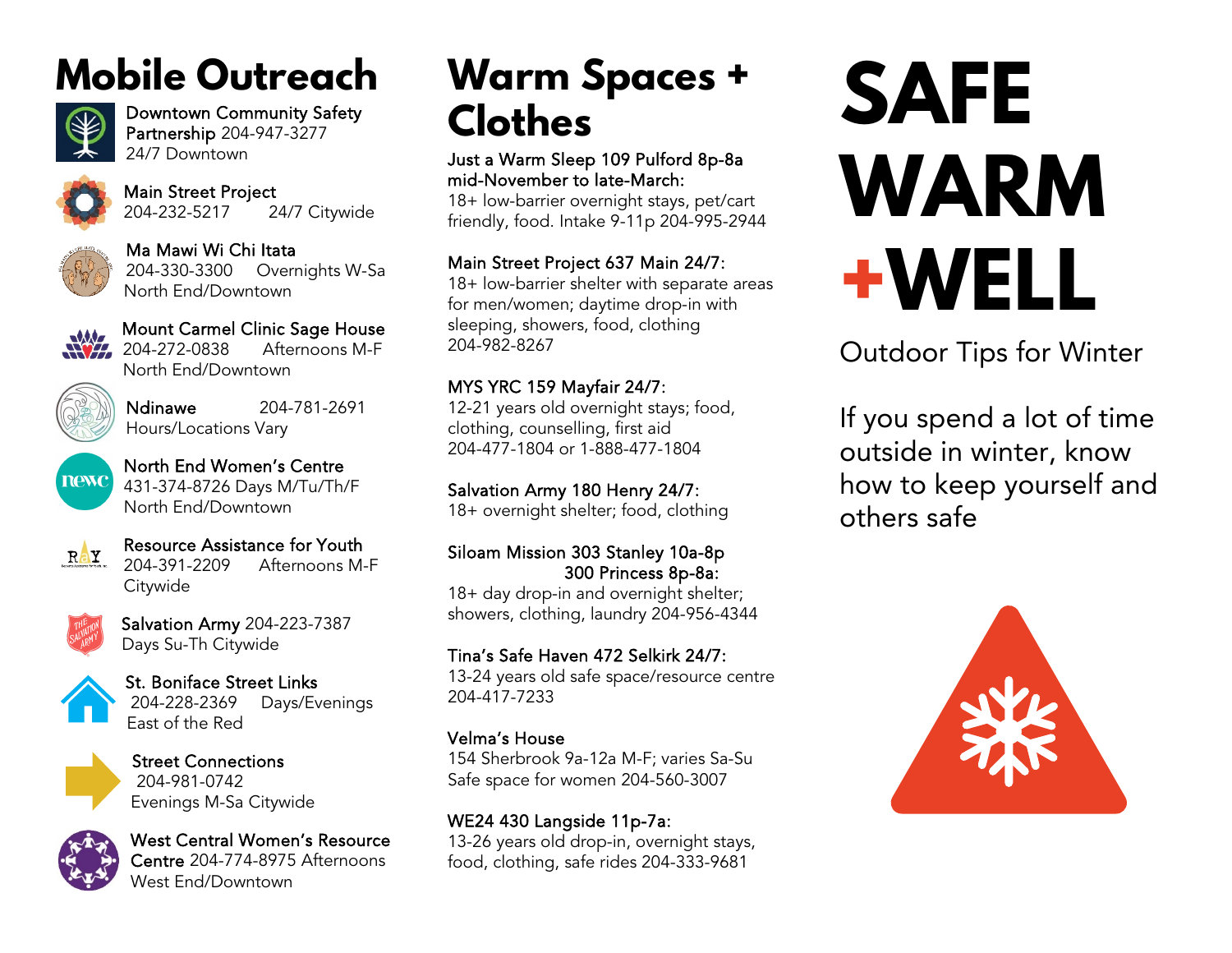# **Mobile Outreach**



Downtown Community Safety Partnership 204-947-3277 24/7 Downtown



Main Street Project 204-232-5217 24/7 Citywide



Ma Mawi Wi Chi Itata 204-330-3300 Overnights W-Sa North End/Downtown



Mount Carmel Clinic Sage House<br>204-272-0838 Afternoons M-F Afternoons M-F North End/Downtown



Ndinawe 204-781-2691 Hours/Locations Vary



North End Women's Centre 431-374-8726 Days M/Tu/Th/F North End/Downtown



Resource Assistance for Youth 204-391-2209 Afternoons M-F **Citywide** 



Salvation Army 204-223-7387 Days Su-Th Citywide



St. Boniface Street Links 204-228-2369 Days/Evenings East of the Red



Street Connections 204-981-0742 Evenings M-Sa Citywide



West Central Women's Resource Centre 204-774-8975 Afternoons West End/Downtown

# **Warm Spaces + Clothes**

Just a Warm Sleep 109 Pulford 8p-8a mid-November to late-March:

18+ low-barrier overnight stays, pet/cart friendly, food. Intake 9-11p 204-995-2944

## Main Street Project 637 Main 24/7:

18+ low-barrier shelter with separate areas for men/women; daytime drop-in with sleeping, showers, food, clothing 204-982-8267

## MYS YRC 159 Mayfair 24/7:

12-21 years old overnight stays; food, clothing, counselling, first aid 204-477-1804 or 1-888-477-1804

## Salvation Army 180 Henry 24/7:

18+ overnight shelter; food, clothing

## Siloam Mission 303 Stanley 10a-8p 300 Princess 8p-8a:

18+ day drop-in and overnight shelter; showers, clothing, laundry 204-956-4344

## Tina's Safe Haven 472 Selkirk 24/7:

13-24 years old safe space/resource centre 204-417-7233

## Velma's House

154 Sherbrook 9a-12a M-F; varies Sa-Su Safe space for women 204-560-3007

# WE24 430 Langside 11p-7a:

13-26 years old drop-in, overnight stays, food, clothing, safe rides 204-333-9681

# **SAFE WARM +WELL**

Outdoor Tips for Winter

If you spend a lot of time outside in winter, know how to keep yourself and others safe